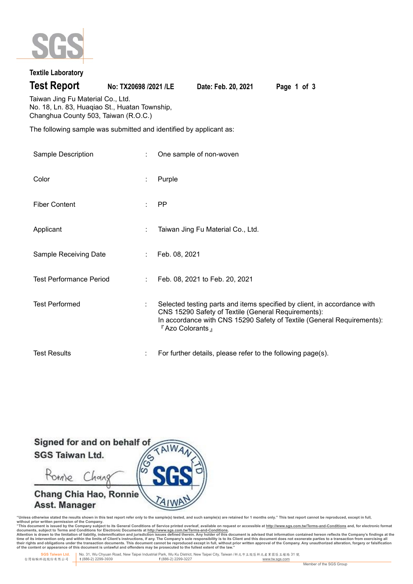

# **Textile Laboratory**

**Test Report No: TX20698 /2021 /LE Date: Feb. 20, 2021 Page 1 of 3**

Taiwan Jing Fu Material Co., Ltd. No. 18, Ln. 83, Huaqiao St., Huatan Township, Changhua County 503, Taiwan (R.O.C.)

The following sample was submitted and identified by applicant as:

| Sample Description             | One sample of non-woven                                                                                                                                                                                                      |
|--------------------------------|------------------------------------------------------------------------------------------------------------------------------------------------------------------------------------------------------------------------------|
| Color                          | Purple                                                                                                                                                                                                                       |
| <b>Fiber Content</b>           | <b>PP</b>                                                                                                                                                                                                                    |
| Applicant                      | Taiwan Jing Fu Material Co., Ltd.                                                                                                                                                                                            |
| Sample Receiving Date          | Feb. 08, 2021                                                                                                                                                                                                                |
| <b>Test Performance Period</b> | Feb. 08, 2021 to Feb. 20, 2021                                                                                                                                                                                               |
| <b>Test Performed</b>          | Selected testing parts and items specified by client, in accordance with<br>CNS 15290 Safety of Textile (General Requirements):<br>In accordance with CNS 15290 Safety of Textile (General Requirements):<br>『Azo Colorants』 |
| <b>Test Results</b>            | For further details, please refer to the following page(s).                                                                                                                                                                  |



"Unless otherwise stated the results shown in this test report refer only to the sample(s) tested, and such sample(s) are retained for 1 months only." This test report cannot be reproduced, except in full,<br>without prior wr

documents, subject to Terms and Conditions for Electronic Documents at <u>http://www.sqs.com.tw/Terms-and-Conditions</u><br>Attention is drawn to the limitation of liability, indemnification and jurisdiction issues defined threin.

 **SGS Taiwan Ltd.** No. 31, Wu Chyuan Road, New Taipei Industrial Park, Wu Ku District, New Taipei City, Taiwan /新北市五股區新北產業園區五權路 31 號 台灣檢驗科技股份有限公司 **t** (886-2) 2299-3939 **f** (886-2) 2299-3227 www.tw.sgs.com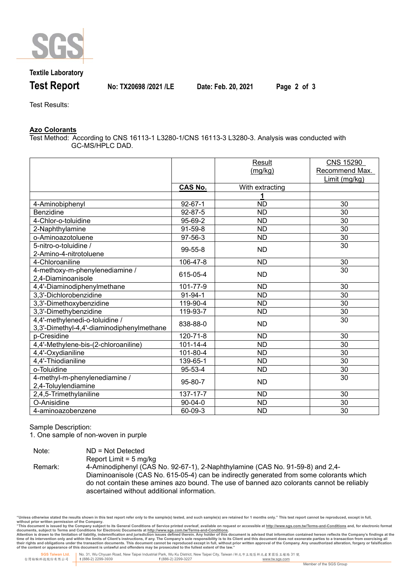

## **Textile Laboratory**

**Test Report No: TX20698 /2021 /LE Date: Feb. 20, 2021 Page 2 of 3**

Test Results:

### **Azo Colorants**

Test Method: According to CNS 16113-1 L3280-1/CNS 16113-3 L3280-3. Analysis was conducted with GC-MS/HPLC DAD.

|                                           |                | Result          | <b>CNS 15290</b> |
|-------------------------------------------|----------------|-----------------|------------------|
|                                           |                | (mg/kg)         | Recommend Max.   |
|                                           |                |                 | Limit (mg/kg)    |
|                                           | <b>CAS No.</b> | With extracting |                  |
|                                           |                | 1               |                  |
| 4-Aminobiphenyl                           | $92 - 67 - 1$  | $\overline{ND}$ | 30               |
| Benzidine                                 | $92 - 87 - 5$  | <b>ND</b>       | 30               |
| 4-Chlor-o-toluidine                       | 95-69-2        | $\overline{ND}$ | $\overline{30}$  |
| 2-Naphthylamine                           | $91-59-8$      | ND              | 30               |
| o-Aminoazotoluene                         | 97-56-3        | <b>ND</b>       | 30               |
| 5-nitro-o-toluidine /                     | 99-55-8        | <b>ND</b>       | 30               |
| 2-Amino-4-nitrotoluene                    |                |                 |                  |
| 4-Chloroaniline                           | 106-47-8       | <b>ND</b>       | 30               |
| 4-methoxy-m-phenylenediamine /            | 615-05-4       | <b>ND</b>       | 30               |
| 2,4-Diaminoanisole                        |                |                 |                  |
| 4,4'-Diaminodiphenylmethane               | 101-77-9       | <b>ND</b>       | 30               |
| 3,3'-Dichlorobenzidine                    | $91 - 94 - 1$  | <b>ND</b>       | 30               |
| 3,3'-Dimethoxybenzidine                   | 119-90-4       | <b>ND</b>       | 30               |
| 3,3'-Dimethybenzidine                     | 119-93-7       | <b>ND</b>       | 30               |
| 4,4'-methylenedi-o-toluidine /            | 838-88-0       | <b>ND</b>       | 30               |
| 3,3'-Dimethyl-4,4'-diaminodiphenylmethane |                |                 |                  |
| p-Cresidine                               | 120-71-8       | <b>ND</b>       | 30               |
| 4,4'-Methylene-bis-(2-chloroaniline)      | $101 - 14 - 4$ | <b>ND</b>       | 30               |
| 4,4'-Oxydianiline                         | 101-80-4       | <b>ND</b>       | 30               |
| 4,4'-Thiodianiline                        | 139-65-1       | <b>ND</b>       | 30               |
| o-Toluidine                               | 95-53-4        | <b>ND</b>       | 30               |
| 4-methyl-m-phenylenediamine /             | 95-80-7        | <b>ND</b>       | 30               |
| 2,4-Toluylendiamine                       |                |                 |                  |
| 2,4,5-Trimethylaniline                    | 137-17-7       | <b>ND</b>       | 30               |
| O-Anisidine                               | $90 - 04 - 0$  | <b>ND</b>       | 30               |
| 4-aminoazobenzene                         | 60-09-3        | <b>ND</b>       | 30               |

Sample Description:

1. One sample of non-woven in purple

| Note:   | $ND = Not$ Detected                                                                       |
|---------|-------------------------------------------------------------------------------------------|
|         | Report Limit = $5 \text{ mg/kg}$                                                          |
| Remark: | 4-Aminodiphenyl (CAS No. 92-67-1), 2-Naphthylamine (CAS No. 91-59-8) and 2,4-             |
|         | Diaminoanisole (CAS No. 615-05-4) can be indirectly generated from some colorants which   |
|         | do not contain these amines azo bound. The use of banned azo colorants cannot be reliably |
|         | ascertained without additional information.                                               |

"Unless otherwise stated the results shown in this test report refer only to the sample(s) tested, and such sample(s) are retained for 1 months only." This test report cannot be reproduced, except in full,<br>without prior wr

documents, subject to Terms and Conditions for Electronic Documents at <u>http://www.sqs.com.tw/Terms-and-Conditions</u><br>Attention is drawn to the limitation of liability, indemnification and jurisdiction issues defined threin.

**SGS Taiwan Ltd.** No. 31, Wu Chyuan Road, New Taipei Industrial Park, Wu Ku District, New Taipei City, Taiwan /新北市五股區新北產業園區五權路 31 號 台灣檢驗科技股份有限公司 **t** (886-2) 2299-3939 **f** (886-2) 2299-3227 www.tw.sgs.com Member of the SGS Group